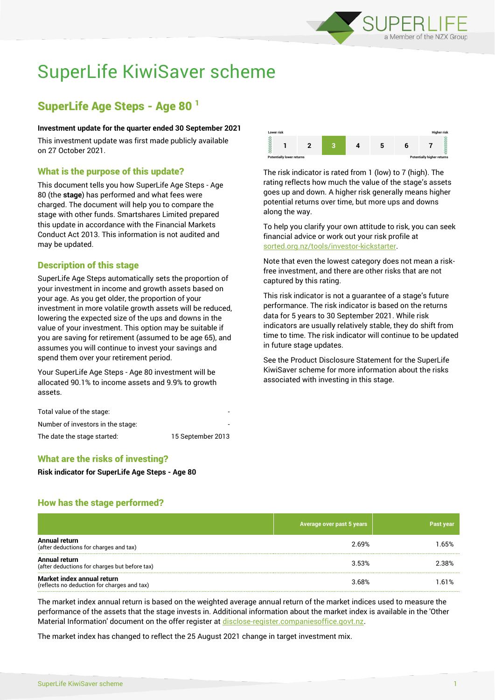

# SuperLife KiwiSaver scheme

## SuperLife Age Steps - Age 80 <sup>1</sup>

#### **Investment update for the quarter ended 30 September 2021**

This investment update was first made publicly available on 27 October 2021.

## What is the purpose of this update?

This document tells you how SuperLife Age Steps - Age 80 (the **stage**) has performed and what fees were charged. The document will help you to compare the stage with other funds. Smartshares Limited prepared this update in accordance with the Financial Markets Conduct Act 2013. This information is not audited and may be updated.

## Description of this stage

SuperLife Age Steps automatically sets the proportion of your investment in income and growth assets based on your age. As you get older, the proportion of your investment in more volatile growth assets will be reduced, lowering the expected size of the ups and downs in the value of your investment. This option may be suitable if you are saving for retirement (assumed to be age 65), and assumes you will continue to invest your savings and spend them over your retirement period.

Your SuperLife Age Steps - Age 80 investment will be allocated 90.1% to income assets and 9.9% to growth assets.

| Total value of the stage:         | -                 |
|-----------------------------------|-------------------|
| Number of investors in the stage: | -                 |
| The date the stage started:       | 15 September 2013 |

## What are the risks of investing?

**Risk indicator for SuperLife Age Steps - Age 80**

## How has the stage performed?

|                                                                           | Average over past 5 years | <b>Past year</b> |
|---------------------------------------------------------------------------|---------------------------|------------------|
| Annual return<br>(after deductions for charges and tax)                   | 2.69%                     | 1.65%            |
| Annual return<br>(after deductions for charges but before tax)            | 3.53%                     | 2.38%            |
| Market index annual return<br>(reflects no deduction for charges and tax) | 3.68%                     | 1.61%            |

The market index annual return is based on the weighted average annual return of the market indices used to measure the performance of the assets that the stage invests in. Additional information about the market index is available in the 'Other Material Information' document on the offer register at [disclose-register.companiesoffice.govt.nz.](http://www.disclose-register.companiesoffice.govt.nz/)

The market index has changed to reflect the 25 August 2021 change in target investment mix.



The risk indicator is rated from 1 (low) to 7 (high). The rating reflects how much the value of the stage's assets goes up and down. A higher risk generally means higher potential returns over time, but more ups and downs along the way.

To help you clarify your own attitude to risk, you can seek financial advice or work out your risk profile at [sorted.org.nz/tools/investor-kickstarter.](http://www.sorted.org.nz/tools/investor-kickstarter)

Note that even the lowest category does not mean a riskfree investment, and there are other risks that are not captured by this rating.

This risk indicator is not a guarantee of a stage's future performance. The risk indicator is based on the returns data for 5 years to 30 September 2021. While risk indicators are usually relatively stable, they do shift from time to time. The risk indicator will continue to be updated in future stage updates.

See the Product Disclosure Statement for the SuperLife KiwiSaver scheme for more information about the risks associated with investing in this stage.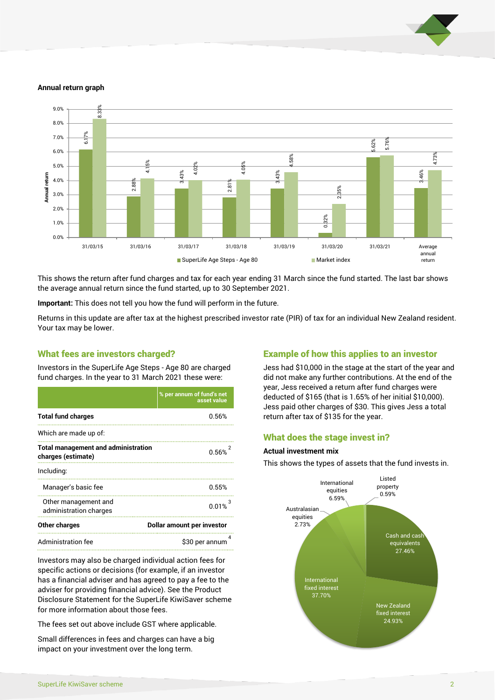

#### **Annual return graph**



This shows the return after fund charges and tax for each year ending 31 March since the fund started. The last bar shows the average annual return since the fund started, up to 30 September 2021.

**Important:** This does not tell you how the fund will perform in the future.

Returns in this update are after tax at the highest prescribed investor rate (PIR) of tax for an individual New Zealand resident. Your tax may be lower.

#### What fees are investors charged?

Investors in the SuperLife Age Steps - Age 80 are charged fund charges. In the year to 31 March 2021 these were:

|                                                                  | % per annum of fund's net<br>asset value |  |
|------------------------------------------------------------------|------------------------------------------|--|
| <b>Total fund charges</b>                                        | 0.56%                                    |  |
| Which are made up of:                                            |                                          |  |
| <b>Total management and administration</b><br>charges (estimate) | 0.56%                                    |  |
| Including:                                                       |                                          |  |
| Manager's basic fee                                              | 0.55%                                    |  |
| Other management and<br>administration charges                   | 0.01%                                    |  |
| Other charges                                                    | Dollar amount per investor               |  |
| Administration fee                                               | \$30 per annum                           |  |

Investors may also be charged individual action fees for specific actions or decisions (for example, if an investor has a financial adviser and has agreed to pay a fee to the adviser for providing financial advice). See the Product Disclosure Statement for the SuperLife KiwiSaver scheme for more information about those fees.

The fees set out above include GST where applicable.

Small differences in fees and charges can have a big impact on your investment over the long term.

## Example of how this applies to an investor

Jess had \$10,000 in the stage at the start of the year and did not make any further contributions. At the end of the year, Jess received a return after fund charges were deducted of \$165 (that is 1.65% of her initial \$10,000). Jess paid other charges of \$30. This gives Jess a total return after tax of \$135 for the year.

## What does the stage invest in?

#### **Actual investment mix**

This shows the types of assets that the fund invests in.

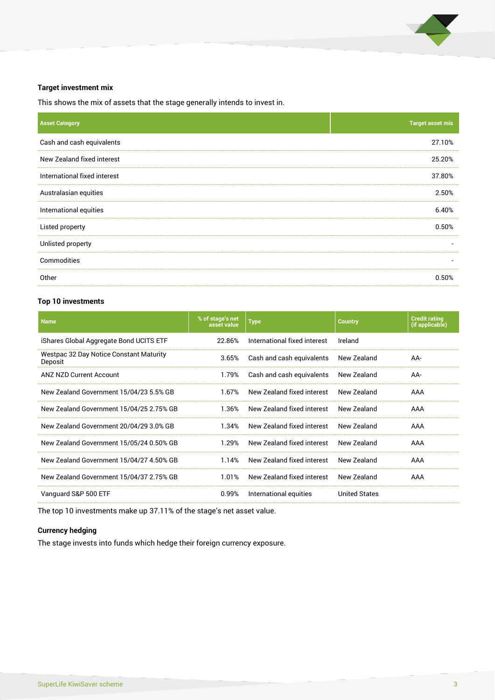

#### **Target investment mix**

This shows the mix of assets that the stage generally intends to invest in.

| <b>Asset Category</b>        | <b>Target asset mix</b>  |
|------------------------------|--------------------------|
| Cash and cash equivalents    | 27.10%                   |
| New Zealand fixed interest   | 25.20%                   |
| International fixed interest | 37.80%                   |
| Australasian equities        | 2.50%                    |
| International equities       | 6.40%                    |
| Listed property              | 0.50%                    |
| Unlisted property            |                          |
| Commodities                  | $\overline{\phantom{a}}$ |
| Other                        | 0.50%                    |

#### **Top 10 investments**

| <b>Name</b>                                        | % of stage's net<br>asset value | <b>Type</b>                  | <b>Country</b>       | <b>Credit rating</b><br>(if applicable) |
|----------------------------------------------------|---------------------------------|------------------------------|----------------------|-----------------------------------------|
| iShares Global Aggregate Bond UCITS ETF            | 22.86%                          | International fixed interest | Ireland              |                                         |
| Westpac 32 Day Notice Constant Maturity<br>Deposit | 3.65%                           | Cash and cash equivalents    | New Zealand          | AA-                                     |
| <b>ANZ NZD Current Account</b>                     | 1.79%                           | Cash and cash equivalents    | New Zealand          | AA-                                     |
| New Zealand Government 15/04/23 5.5% GB            | 1.67%                           | New Zealand fixed interest   | New Zealand          | AAA                                     |
| New Zealand Government 15/04/25 2.75% GB           | 1.36%                           | New Zealand fixed interest   | New Zealand          | AAA                                     |
| New Zealand Government 20/04/29 3.0% GB            | 1.34%                           | New Zealand fixed interest   | New Zealand          | AAA                                     |
| New Zealand Government 15/05/24 0.50% GB           | 1.29%                           | New Zealand fixed interest   | New Zealand          | AAA                                     |
| New Zealand Government 15/04/27 4.50% GB           | 1.14%                           | New Zealand fixed interest   | New Zealand          | AAA                                     |
| New Zealand Government 15/04/37 2.75% GB           | 1.01%                           | New Zealand fixed interest   | New Zealand          | AAA                                     |
| Vanguard S&P 500 ETF                               | 0.99%                           | International equities       | <b>United States</b> |                                         |

The top 10 investments make up 37.11% of the stage's net asset value.

### **Currency hedging**

The stage invests into funds which hedge their foreign currency exposure.